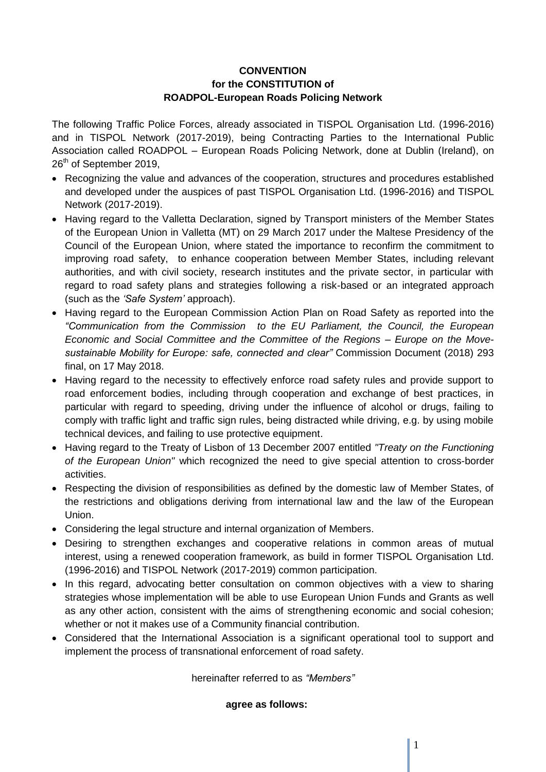# **CONVENTION for the CONSTITUTION of ROADPOL-European Roads Policing Network**

The following Traffic Police Forces, already associated in TISPOL Organisation Ltd. (1996-2016) and in TISPOL Network (2017-2019), being Contracting Parties to the International Public Association called ROADPOL – European Roads Policing Network, done at Dublin (Ireland), on 26<sup>th</sup> of September 2019,

- Recognizing the value and advances of the cooperation, structures and procedures established and developed under the auspices of past TISPOL Organisation Ltd. (1996-2016) and TISPOL Network (2017-2019).
- Having regard to the Valletta Declaration, signed by Transport ministers of the Member States of the European Union in Valletta (MT) on 29 March 2017 under the Maltese Presidency of the Council of the European Union, where stated the importance to reconfirm the commitment to improving road safety, to enhance cooperation between Member States, including relevant authorities, and with civil society, research institutes and the private sector, in particular with regard to road safety plans and strategies following a risk-based or an integrated approach (such as the *'Safe System'* approach).
- Having regard to the European Commission Action Plan on Road Safety as reported into the *"Communication from the Commission to the EU Parliament, the Council, the European Economic and Social Committee and the Committee of the Regions – Europe on the Movesustainable Mobility for Europe: safe, connected and clear"* Commission Document (2018) 293 final, on 17 May 2018.
- Having regard to the necessity to effectively enforce road safety rules and provide support to road enforcement bodies, including through cooperation and exchange of best practices, in particular with regard to speeding, driving under the influence of alcohol or drugs, failing to comply with traffic light and traffic sign rules, being distracted while driving, e.g. by using mobile technical devices, and failing to use protective equipment.
- Having regard to the Treaty of Lisbon of 13 December 2007 entitled *"Treaty on the Functioning of the European Union"* which recognized the need to give special attention to cross-border activities.
- Respecting the division of responsibilities as defined by the domestic law of Member States, of the restrictions and obligations deriving from international law and the law of the European Union.
- Considering the legal structure and internal organization of Members.
- Desiring to strengthen exchanges and cooperative relations in common areas of mutual interest, using a renewed cooperation framework, as build in former TISPOL Organisation Ltd. (1996-2016) and TISPOL Network (2017-2019) common participation.
- In this regard, advocating better consultation on common objectives with a view to sharing strategies whose implementation will be able to use European Union Funds and Grants as well as any other action, consistent with the aims of strengthening economic and social cohesion; whether or not it makes use of a Community financial contribution.
- Considered that the International Association is a significant operational tool to support and implement the process of transnational enforcement of road safety.

hereinafter referred to as *"Members"*

## **agree as follows:**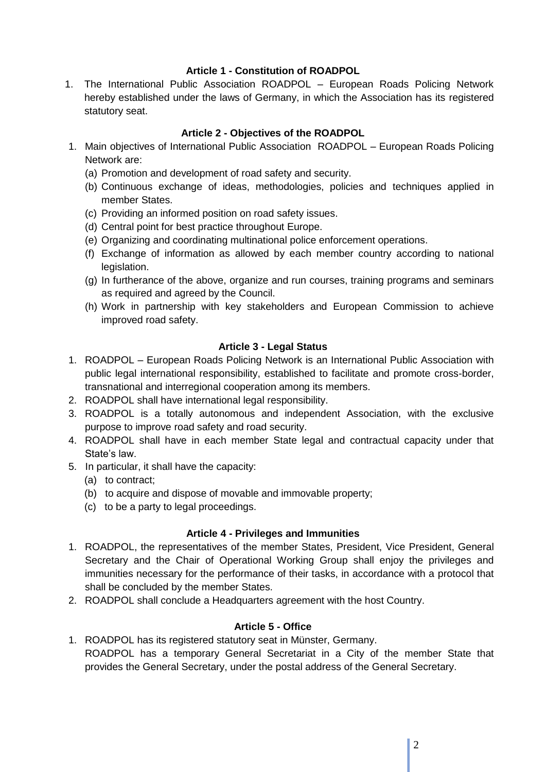# **Article 1 - Constitution of ROADPOL**

1. The International Public Association ROADPOL – European Roads Policing Network hereby established under the laws of Germany, in which the Association has its registered statutory seat.

# **Article 2 - Objectives of the ROADPOL**

- 1. Main objectives of International Public Association ROADPOL European Roads Policing Network are:
	- (a) Promotion and development of road safety and security.
	- (b) Continuous exchange of ideas, methodologies, policies and techniques applied in member States.
	- (c) Providing an informed position on road safety issues.
	- (d) Central point for best practice throughout Europe.
	- (e) Organizing and coordinating multinational police enforcement operations.
	- (f) Exchange of information as allowed by each member country according to national legislation.
	- (g) In furtherance of the above, organize and run courses, training programs and seminars as required and agreed by the Council.
	- (h) Work in partnership with key stakeholders and European Commission to achieve improved road safety.

# **Article 3 - Legal Status**

- 1. ROADPOL European Roads Policing Network is an International Public Association with public legal international responsibility, established to facilitate and promote cross-border, transnational and interregional cooperation among its members.
- 2. ROADPOL shall have international legal responsibility.
- 3. ROADPOL is a totally autonomous and independent Association, with the exclusive purpose to improve road safety and road security.
- 4. ROADPOL shall have in each member State legal and contractual capacity under that State's law.
- 5. In particular, it shall have the capacity:
	- (a) to contract;
	- (b) to acquire and dispose of movable and immovable property;
	- (c) to be a party to legal proceedings.

## **Article 4 - Privileges and Immunities**

- 1. ROADPOL, the representatives of the member States, President, Vice President, General Secretary and the Chair of Operational Working Group shall enjoy the privileges and immunities necessary for the performance of their tasks, in accordance with a protocol that shall be concluded by the member States.
- 2. ROADPOL shall conclude a Headquarters agreement with the host Country.

# **Article 5 - Office**

1. ROADPOL has its registered statutory seat in Münster, Germany. ROADPOL has a temporary General Secretariat in a City of the member State that provides the General Secretary, under the postal address of the General Secretary.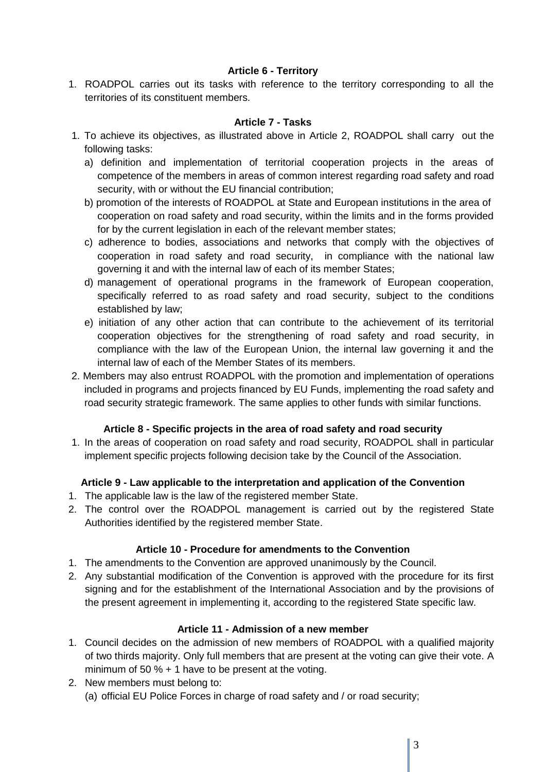# **Article 6 - Territory**

1. ROADPOL carries out its tasks with reference to the territory corresponding to all the territories of its constituent members.

## **Article 7 - Tasks**

- 1. To achieve its objectives, as illustrated above in Article 2, ROADPOL shall carry out the following tasks:
	- a) definition and implementation of territorial cooperation projects in the areas of competence of the members in areas of common interest regarding road safety and road security, with or without the EU financial contribution;
	- b) promotion of the interests of ROADPOL at State and European institutions in the area of cooperation on road safety and road security, within the limits and in the forms provided for by the current legislation in each of the relevant member states:
	- c) adherence to bodies, associations and networks that comply with the objectives of cooperation in road safety and road security, in compliance with the national law governing it and with the internal law of each of its member States;
	- d) management of operational programs in the framework of European cooperation, specifically referred to as road safety and road security, subject to the conditions established by law;
	- e) initiation of any other action that can contribute to the achievement of its territorial cooperation objectives for the strengthening of road safety and road security, in compliance with the law of the European Union, the internal law governing it and the internal law of each of the Member States of its members.
- 2. Members may also entrust ROADPOL with the promotion and implementation of operations included in programs and projects financed by EU Funds, implementing the road safety and road security strategic framework. The same applies to other funds with similar functions.

# **Article 8 - Specific projects in the area of road safety and road security**

1. In the areas of cooperation on road safety and road security, ROADPOL shall in particular implement specific projects following decision take by the Council of the Association.

# **Article 9 - Law applicable to the interpretation and application of the Convention**

- 1. The applicable law is the law of the registered member State.
- 2. The control over the ROADPOL management is carried out by the registered State Authorities identified by the registered member State.

# **Article 10 - Procedure for amendments to the Convention**

- 1. The amendments to the Convention are approved unanimously by the Council.
- 2. Any substantial modification of the Convention is approved with the procedure for its first signing and for the establishment of the International Association and by the provisions of the present agreement in implementing it, according to the registered State specific law.

## **Article 11 - Admission of a new member**

- 1. Council decides on the admission of new members of ROADPOL with a qualified majority of two thirds majority. Only full members that are present at the voting can give their vote. A minimum of 50 % + 1 have to be present at the voting.
- 2. New members must belong to: (a) official EU Police Forces in charge of road safety and / or road security;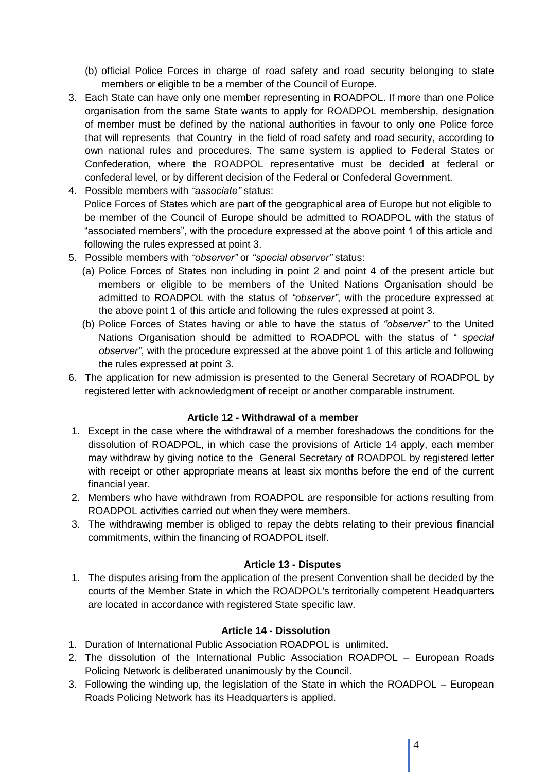(b) official Police Forces in charge of road safety and road security belonging to state members or eligible to be a member of the Council of Europe.

- 3. Each State can have only one member representing in ROADPOL. If more than one Police organisation from the same State wants to apply for ROADPOL membership, designation of member must be defined by the national authorities in favour to only one Police force that will represents that Country in the field of road safety and road security, according to own national rules and procedures. The same system is applied to Federal States or Confederation, where the ROADPOL representative must be decided at federal or confederal level, or by different decision of the Federal or Confederal Government.
- 4. Possible members with *"associate"* status: Police Forces of States which are part of the geographical area of Europe but not eligible to be member of the Council of Europe should be admitted to ROADPOL with the status of "associated members", with the procedure expressed at the above point 1 of this article and following the rules expressed at point 3.
- 5. Possible members with *"observer"* or *"special observer"* status:
	- (a) Police Forces of States non including in point 2 and point 4 of the present article but members or eligible to be members of the United Nations Organisation should be admitted to ROADPOL with the status of *"observer"*, with the procedure expressed at the above point 1 of this article and following the rules expressed at point 3.
	- (b) Police Forces of States having or able to have the status of *"observer"* to the United Nations Organisation should be admitted to ROADPOL with the status of " *special observer"*, with the procedure expressed at the above point 1 of this article and following the rules expressed at point 3.
- 6. The application for new admission is presented to the General Secretary of ROADPOL by registered letter with acknowledgment of receipt or another comparable instrument.

# **Article 12 - Withdrawal of a member**

- 1. Except in the case where the withdrawal of a member foreshadows the conditions for the dissolution of ROADPOL, in which case the provisions of Article 14 apply, each member may withdraw by giving notice to the General Secretary of ROADPOL by registered letter with receipt or other appropriate means at least six months before the end of the current financial year.
- 2. Members who have withdrawn from ROADPOL are responsible for actions resulting from ROADPOL activities carried out when they were members.
- 3. The withdrawing member is obliged to repay the debts relating to their previous financial commitments, within the financing of ROADPOL itself.

## **Article 13 - Disputes**

1. The disputes arising from the application of the present Convention shall be decided by the courts of the Member State in which the ROADPOL's territorially competent Headquarters are located in accordance with registered State specific law.

# **Article 14 - Dissolution**

- 1. Duration of International Public Association ROADPOL is unlimited.
- 2. The dissolution of the International Public Association ROADPOL European Roads Policing Network is deliberated unanimously by the Council.
- 3. Following the winding up, the legislation of the State in which the ROADPOL European Roads Policing Network has its Headquarters is applied.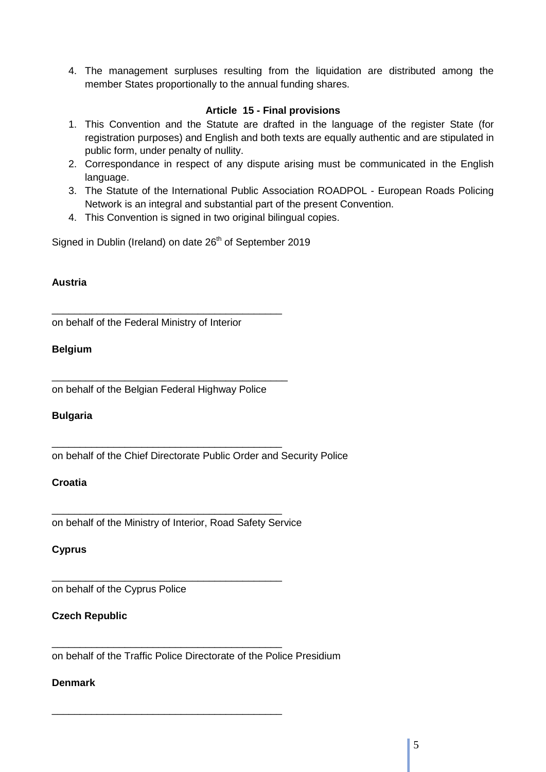4. The management surpluses resulting from the liquidation are distributed among the member States proportionally to the annual funding shares.

# **Article 15 - Final provisions**

- 1. This Convention and the Statute are drafted in the language of the register State (for registration purposes) and English and both texts are equally authentic and are stipulated in public form, under penalty of nullity.
- 2. Correspondance in respect of any dispute arising must be communicated in the English language.
- 3. The Statute of the International Public Association ROADPOL European Roads Policing Network is an integral and substantial part of the present Convention.
- 4. This Convention is signed in two original bilingual copies.

Signed in Dublin (Ireland) on date 26<sup>th</sup> of September 2019

## **Austria**

on behalf of the Federal Ministry of Interior

\_\_\_\_\_\_\_\_\_\_\_\_\_\_\_\_\_\_\_\_\_\_\_\_\_\_\_\_\_\_\_\_\_\_\_\_\_\_\_\_\_

# **Belgium**

on behalf of the Belgian Federal Highway Police

\_\_\_\_\_\_\_\_\_\_\_\_\_\_\_\_\_\_\_\_\_\_\_\_\_\_\_\_\_\_\_\_\_\_\_\_\_\_\_\_\_\_

\_\_\_\_\_\_\_\_\_\_\_\_\_\_\_\_\_\_\_\_\_\_\_\_\_\_\_\_\_\_\_\_\_\_\_\_\_\_\_\_\_

## **Bulgaria**

on behalf of the Chief Directorate Public Order and Security Police

## **Croatia**

on behalf of the Ministry of Interior, Road Safety Service

\_\_\_\_\_\_\_\_\_\_\_\_\_\_\_\_\_\_\_\_\_\_\_\_\_\_\_\_\_\_\_\_\_\_\_\_\_\_\_\_\_

\_\_\_\_\_\_\_\_\_\_\_\_\_\_\_\_\_\_\_\_\_\_\_\_\_\_\_\_\_\_\_\_\_\_\_\_\_\_\_\_\_

\_\_\_\_\_\_\_\_\_\_\_\_\_\_\_\_\_\_\_\_\_\_\_\_\_\_\_\_\_\_\_\_\_\_\_\_\_\_\_\_\_

\_\_\_\_\_\_\_\_\_\_\_\_\_\_\_\_\_\_\_\_\_\_\_\_\_\_\_\_\_\_\_\_\_\_\_\_\_\_\_\_\_

# **Cyprus**

on behalf of the Cyprus Police

## **Czech Republic**

on behalf of the Traffic Police Directorate of the Police Presidium

## **Denmark**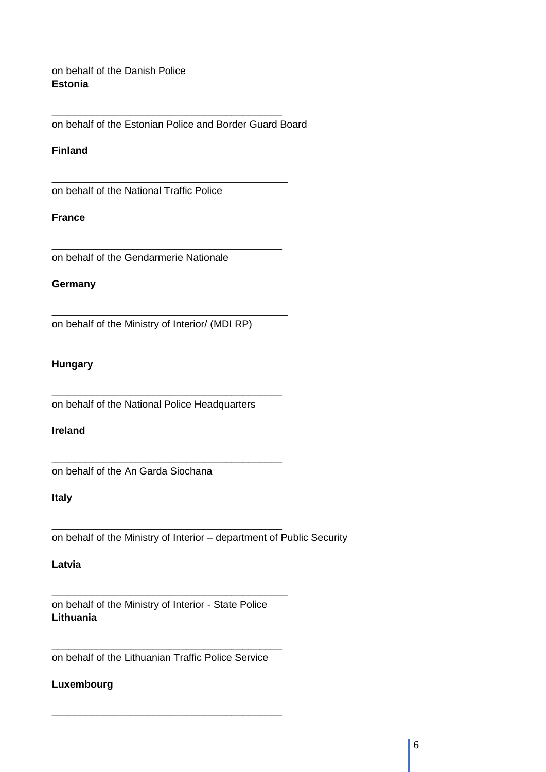on behalf of the Danish Police **Estonia** 

on behalf of the Estonian Police and Border Guard Board

\_\_\_\_\_\_\_\_\_\_\_\_\_\_\_\_\_\_\_\_\_\_\_\_\_\_\_\_\_\_\_\_\_\_\_\_\_\_\_\_\_

\_\_\_\_\_\_\_\_\_\_\_\_\_\_\_\_\_\_\_\_\_\_\_\_\_\_\_\_\_\_\_\_\_\_\_\_\_\_\_\_\_\_

\_\_\_\_\_\_\_\_\_\_\_\_\_\_\_\_\_\_\_\_\_\_\_\_\_\_\_\_\_\_\_\_\_\_\_\_\_\_\_\_\_

\_\_\_\_\_\_\_\_\_\_\_\_\_\_\_\_\_\_\_\_\_\_\_\_\_\_\_\_\_\_\_\_\_\_\_\_\_\_\_\_\_\_

## **Finland**

on behalf of the National Traffic Police

## **France**

on behalf of the Gendarmerie Nationale

#### **Germany**

on behalf of the Ministry of Interior/ (MDI RP)

## **Hungary**

on behalf of the National Police Headquarters

\_\_\_\_\_\_\_\_\_\_\_\_\_\_\_\_\_\_\_\_\_\_\_\_\_\_\_\_\_\_\_\_\_\_\_\_\_\_\_\_\_

\_\_\_\_\_\_\_\_\_\_\_\_\_\_\_\_\_\_\_\_\_\_\_\_\_\_\_\_\_\_\_\_\_\_\_\_\_\_\_\_\_

\_\_\_\_\_\_\_\_\_\_\_\_\_\_\_\_\_\_\_\_\_\_\_\_\_\_\_\_\_\_\_\_\_\_\_\_\_\_\_\_\_

## **Ireland**

on behalf of the An Garda Siochana

## **Italy**

on behalf of the Ministry of Interior – department of Public Security

#### **Latvia**

on behalf of the Ministry of Interior - State Police **Lithuania** 

\_\_\_\_\_\_\_\_\_\_\_\_\_\_\_\_\_\_\_\_\_\_\_\_\_\_\_\_\_\_\_\_\_\_\_\_\_\_\_\_\_\_

\_\_\_\_\_\_\_\_\_\_\_\_\_\_\_\_\_\_\_\_\_\_\_\_\_\_\_\_\_\_\_\_\_\_\_\_\_\_\_\_\_ on behalf of the Lithuanian Traffic Police Service

\_\_\_\_\_\_\_\_\_\_\_\_\_\_\_\_\_\_\_\_\_\_\_\_\_\_\_\_\_\_\_\_\_\_\_\_\_\_\_\_\_

## **Luxembourg**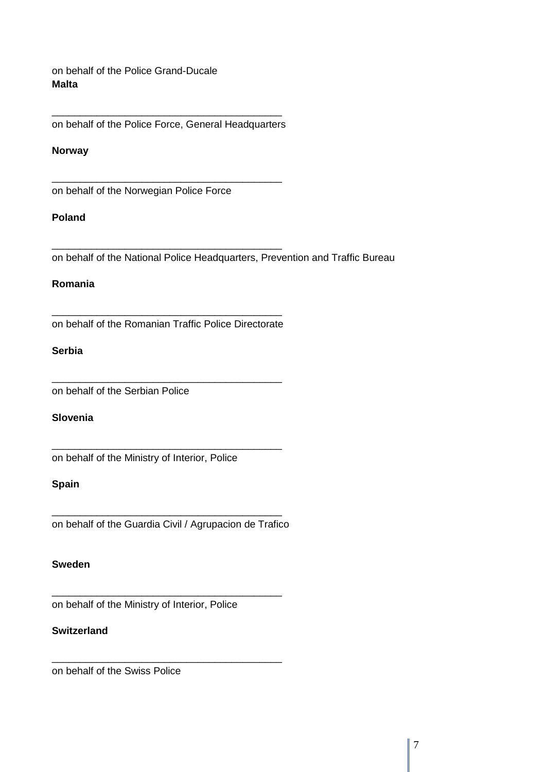on behalf of the Police Grand-Ducale **Malta** 

\_\_\_\_\_\_\_\_\_\_\_\_\_\_\_\_\_\_\_\_\_\_\_\_\_\_\_\_\_\_\_\_\_\_\_\_\_\_\_\_\_ on behalf of the Police Force, General Headquarters

\_\_\_\_\_\_\_\_\_\_\_\_\_\_\_\_\_\_\_\_\_\_\_\_\_\_\_\_\_\_\_\_\_\_\_\_\_\_\_\_\_

\_\_\_\_\_\_\_\_\_\_\_\_\_\_\_\_\_\_\_\_\_\_\_\_\_\_\_\_\_\_\_\_\_\_\_\_\_\_\_\_\_

#### **Norway**

on behalf of the Norwegian Police Force

## **Poland**

on behalf of the National Police Headquarters, Prevention and Traffic Bureau

## **Romania**

\_\_\_\_\_\_\_\_\_\_\_\_\_\_\_\_\_\_\_\_\_\_\_\_\_\_\_\_\_\_\_\_\_\_\_\_\_\_\_\_\_ on behalf of the Romanian Traffic Police Directorate

\_\_\_\_\_\_\_\_\_\_\_\_\_\_\_\_\_\_\_\_\_\_\_\_\_\_\_\_\_\_\_\_\_\_\_\_\_\_\_\_\_

\_\_\_\_\_\_\_\_\_\_\_\_\_\_\_\_\_\_\_\_\_\_\_\_\_\_\_\_\_\_\_\_\_\_\_\_\_\_\_\_\_

## **Serbia**

on behalf of the Serbian Police

# **Slovenia**

on behalf of the Ministry of Interior, Police

#### **Spain**

\_\_\_\_\_\_\_\_\_\_\_\_\_\_\_\_\_\_\_\_\_\_\_\_\_\_\_\_\_\_\_\_\_\_\_\_\_\_\_\_\_ on behalf of the Guardia Civil / Agrupacion de Trafico

\_\_\_\_\_\_\_\_\_\_\_\_\_\_\_\_\_\_\_\_\_\_\_\_\_\_\_\_\_\_\_\_\_\_\_\_\_\_\_\_\_

\_\_\_\_\_\_\_\_\_\_\_\_\_\_\_\_\_\_\_\_\_\_\_\_\_\_\_\_\_\_\_\_\_\_\_\_\_\_\_\_\_

#### **Sweden**

on behalf of the Ministry of Interior, Police

## **Switzerland**

on behalf of the Swiss Police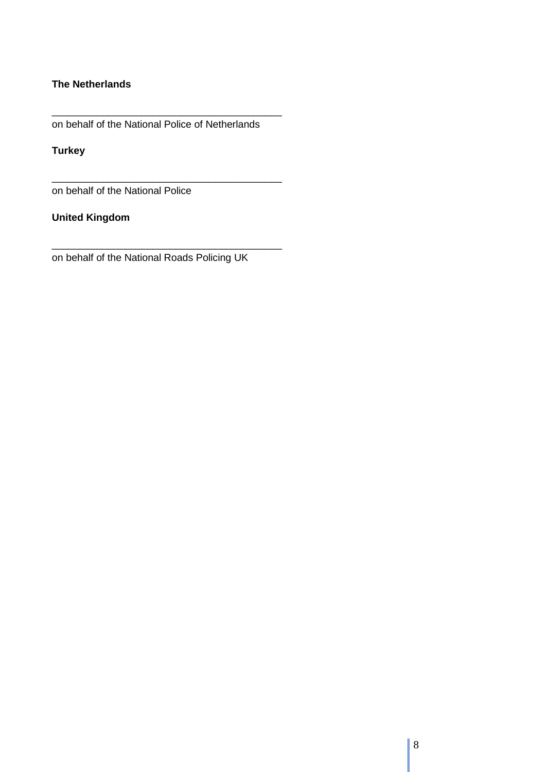# **The Netherlands**

on behalf of the National Police of Netherlands

\_\_\_\_\_\_\_\_\_\_\_\_\_\_\_\_\_\_\_\_\_\_\_\_\_\_\_\_\_\_\_\_\_\_\_\_\_\_\_\_\_

\_\_\_\_\_\_\_\_\_\_\_\_\_\_\_\_\_\_\_\_\_\_\_\_\_\_\_\_\_\_\_\_\_\_\_\_\_\_\_\_\_

\_\_\_\_\_\_\_\_\_\_\_\_\_\_\_\_\_\_\_\_\_\_\_\_\_\_\_\_\_\_\_\_\_\_\_\_\_\_\_\_\_

**Turkey**

on behalf of the National Police

**United Kingdom** 

on behalf of the National Roads Policing UK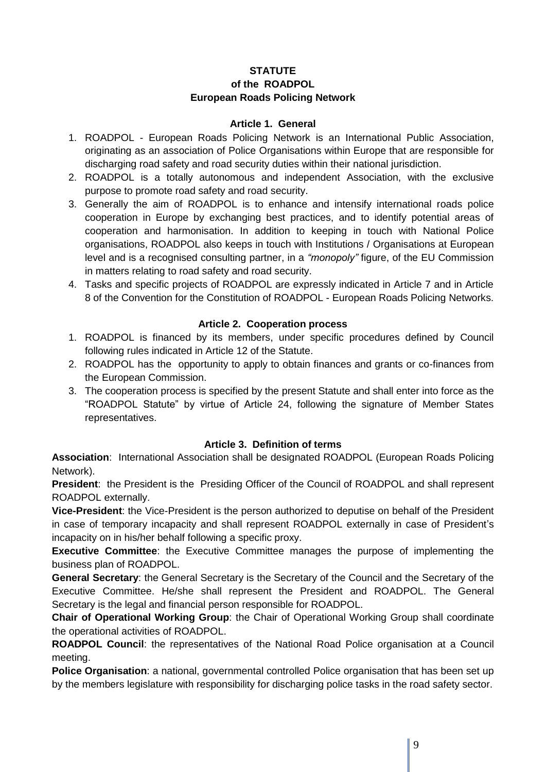# **STATUTE of the ROADPOL European Roads Policing Network**

## **Article 1. General**

- 1. ROADPOL European Roads Policing Network is an International Public Association, originating as an association of Police Organisations within Europe that are responsible for discharging road safety and road security duties within their national jurisdiction.
- 2. ROADPOL is a totally autonomous and independent Association, with the exclusive purpose to promote road safety and road security.
- 3. Generally the aim of ROADPOL is to enhance and intensify international roads police cooperation in Europe by exchanging best practices, and to identify potential areas of cooperation and harmonisation. In addition to keeping in touch with National Police organisations, ROADPOL also keeps in touch with Institutions / Organisations at European level and is a recognised consulting partner, in a *"monopoly"* figure, of the EU Commission in matters relating to road safety and road security.
- 4. Tasks and specific projects of ROADPOL are expressly indicated in Article 7 and in Article 8 of the Convention for the Constitution of ROADPOL - European Roads Policing Networks.

# **Article 2. Cooperation process**

- 1. ROADPOL is financed by its members, under specific procedures defined by Council following rules indicated in Article 12 of the Statute.
- 2. ROADPOL has the opportunity to apply to obtain finances and grants or co-finances from the European Commission.
- 3. The cooperation process is specified by the present Statute and shall enter into force as the "ROADPOL Statute" by virtue of Article 24, following the signature of Member States representatives.

# **Article 3. Definition of terms**

**Association**: International Association shall be designated ROADPOL (European Roads Policing Network).

**President**: the President is the Presiding Officer of the Council of ROADPOL and shall represent ROADPOL externally.

**Vice-President**: the Vice-President is the person authorized to deputise on behalf of the President in case of temporary incapacity and shall represent ROADPOL externally in case of President's incapacity on in his/her behalf following a specific proxy.

**Executive Committee**: the Executive Committee manages the purpose of implementing the business plan of ROADPOL.

**General Secretary**: the General Secretary is the Secretary of the Council and the Secretary of the Executive Committee. He/she shall represent the President and ROADPOL. The General Secretary is the legal and financial person responsible for ROADPOL.

**Chair of Operational Working Group**: the Chair of Operational Working Group shall coordinate the operational activities of ROADPOL.

**ROADPOL Council**: the representatives of the National Road Police organisation at a Council meeting.

**Police Organisation**: a national, governmental controlled Police organisation that has been set up by the members legislature with responsibility for discharging police tasks in the road safety sector.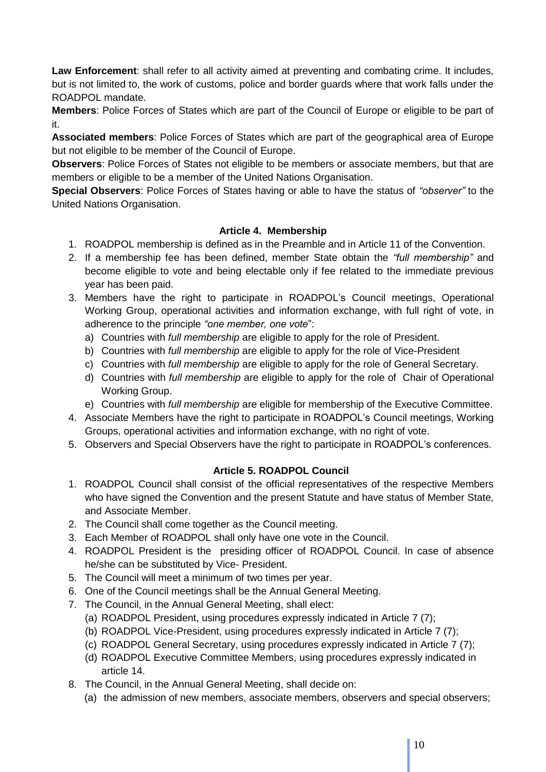**Law Enforcement**: shall refer to all activity aimed at preventing and combating crime. It includes, but is not limited to, the work of customs, police and border guards where that work falls under the ROADPOL mandate.

**Members**: Police Forces of States which are part of the Council of Europe or eligible to be part of it.

**Associated members**: Police Forces of States which are part of the geographical area of Europe but not eligible to be member of the Council of Europe.

**Observers**: Police Forces of States not eligible to be members or associate members, but that are members or eligible to be a member of the United Nations Organisation.

**Special Observers**: Police Forces of States having or able to have the status of *"observer"* to the United Nations Organisation.

# **Article 4. Membership**

- 1. ROADPOL membership is defined as in the Preamble and in Article 11 of the Convention.
- 2. If a membership fee has been defined, member State obtain the *"full membership"* and become eligible to vote and being electable only if fee related to the immediate previous year has been paid.
- 3. Members have the right to participate in ROADPOL's Council meetings, Operational Working Group, operational activities and information exchange, with full right of vote, in adherence to the principle *"one member, one vote*":
	- a) Countries with *full membership* are eligible to apply for the role of President.
	- b) Countries with *full membership* are eligible to apply for the role of Vice-President
	- c) Countries with *full membership* are eligible to apply for the role of General Secretary.
	- d) Countries with *full membership* are eligible to apply for the role of Chair of Operational Working Group.
	- e) Countries with *full membership* are eligible for membership of the Executive Committee.
- 4. Associate Members have the right to participate in ROADPOL's Council meetings, Working Groups, operational activities and information exchange, with no right of vote.
- 5. Observers and Special Observers have the right to participate in ROADPOL's conferences.

# **Article 5. ROADPOL Council**

- 1. ROADPOL Council shall consist of the official representatives of the respective Members who have signed the Convention and the present Statute and have status of Member State, and Associate Member.
- 2. The Council shall come together as the Council meeting.
- 3. Each Member of ROADPOL shall only have one vote in the Council.
- 4. ROADPOL President is the presiding officer of ROADPOL Council. In case of absence he/she can be substituted by Vice- President.
- 5. The Council will meet a minimum of two times per year.
- 6. One of the Council meetings shall be the Annual General Meeting.
- 7. The Council, in the Annual General Meeting, shall elect:
	- (a) ROADPOL President, using procedures expressly indicated in Article 7 (7);
	- (b) ROADPOL Vice-President, using procedures expressly indicated in Article 7 (7);
	- (c) ROADPOL General Secretary, using procedures expressly indicated in Article 7 (7);
	- (d) ROADPOL Executive Committee Members, using procedures expressly indicated in article 14.
- 8. The Council, in the Annual General Meeting, shall decide on:
	- (a) the admission of new members, associate members, observers and special observers;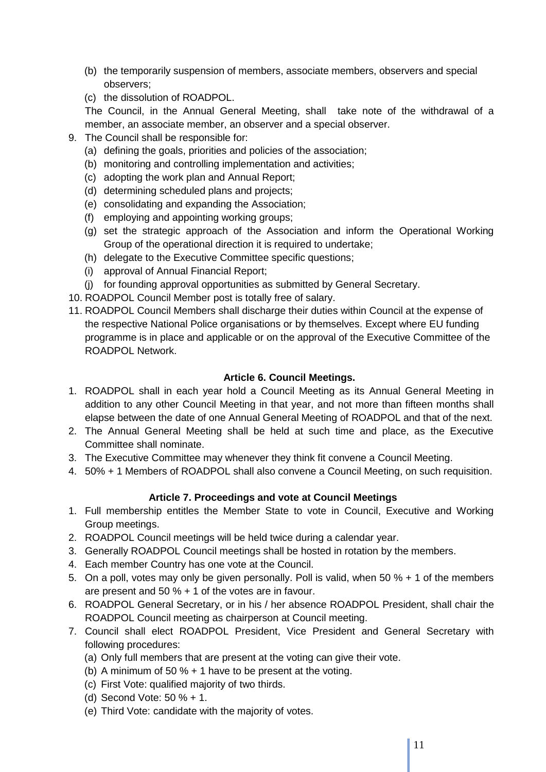- (b) the temporarily suspension of members, associate members, observers and special observers;
- (c) the dissolution of ROADPOL.

The Council, in the Annual General Meeting, shall take note of the withdrawal of a member, an associate member, an observer and a special observer.

- 9. The Council shall be responsible for:
	- (a) defining the goals, priorities and policies of the association;
	- (b) monitoring and controlling implementation and activities;
	- (c) adopting the work plan and Annual Report;
	- (d) determining scheduled plans and projects;
	- (e) consolidating and expanding the Association;
	- (f) employing and appointing working groups;
	- (g) set the strategic approach of the Association and inform the Operational Working Group of the operational direction it is required to undertake;
	- (h) delegate to the Executive Committee specific questions;
	- (i) approval of Annual Financial Report;
	- (j) for founding approval opportunities as submitted by General Secretary.
- 10. ROADPOL Council Member post is totally free of salary.
- 11. ROADPOL Council Members shall discharge their duties within Council at the expense of the respective National Police organisations or by themselves. Except where EU funding programme is in place and applicable or on the approval of the Executive Committee of the ROADPOL Network.

# **Article 6. Council Meetings.**

- 1. ROADPOL shall in each year hold a Council Meeting as its Annual General Meeting in addition to any other Council Meeting in that year, and not more than fifteen months shall elapse between the date of one Annual General Meeting of ROADPOL and that of the next.
- 2. The Annual General Meeting shall be held at such time and place, as the Executive Committee shall nominate.
- 3. The Executive Committee may whenever they think fit convene a Council Meeting.
- 4. 50% + 1 Members of ROADPOL shall also convene a Council Meeting, on such requisition.

# **Article 7. Proceedings and vote at Council Meetings**

- 1. Full membership entitles the Member State to vote in Council, Executive and Working Group meetings.
- 2. ROADPOL Council meetings will be held twice during a calendar year.
- 3. Generally ROADPOL Council meetings shall be hosted in rotation by the members.
- 4. Each member Country has one vote at the Council.
- 5. On a poll, votes may only be given personally. Poll is valid, when 50 % + 1 of the members are present and 50 % + 1 of the votes are in favour.
- 6. ROADPOL General Secretary, or in his / her absence ROADPOL President, shall chair the ROADPOL Council meeting as chairperson at Council meeting.
- 7. Council shall elect ROADPOL President, Vice President and General Secretary with following procedures:
	- (a) Only full members that are present at the voting can give their vote.
	- (b) A minimum of 50 % + 1 have to be present at the voting.
	- (c) First Vote: qualified majority of two thirds.
	- (d) Second Vote: 50 % + 1.
	- (e) Third Vote: candidate with the majority of votes.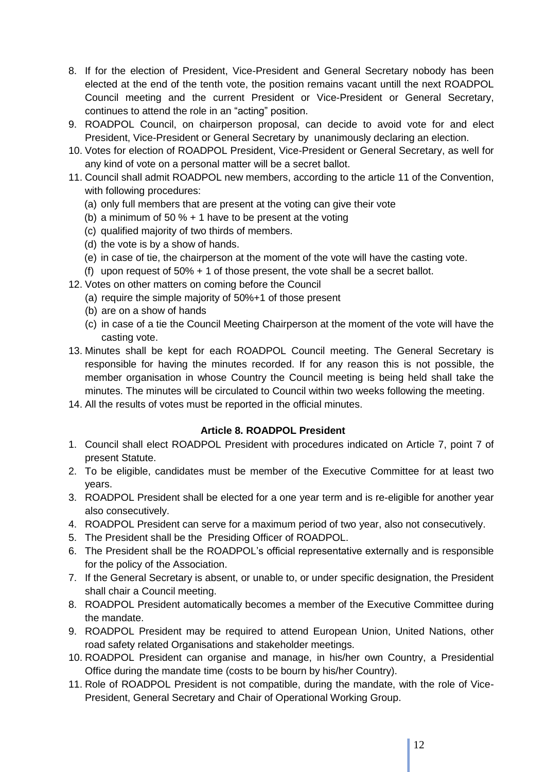- 8. If for the election of President, Vice-President and General Secretary nobody has been elected at the end of the tenth vote, the position remains vacant untill the next ROADPOL Council meeting and the current President or Vice-President or General Secretary, continues to attend the role in an "acting" position.
- 9. ROADPOL Council, on chairperson proposal, can decide to avoid vote for and elect President, Vice-President or General Secretary by unanimously declaring an election.
- 10. Votes for election of ROADPOL President, Vice-President or General Secretary, as well for any kind of vote on a personal matter will be a secret ballot.
- 11. Council shall admit ROADPOL new members, according to the article 11 of the Convention, with following procedures:
	- (a) only full members that are present at the voting can give their vote
	- (b) a minimum of 50  $%$  + 1 have to be present at the voting
	- (c) qualified majority of two thirds of members.
	- (d) the vote is by a show of hands.
	- (e) in case of tie, the chairperson at the moment of the vote will have the casting vote.
	- (f) upon request of 50% + 1 of those present, the vote shall be a secret ballot.
- 12. Votes on other matters on coming before the Council
	- (a) require the simple majority of 50%+1 of those present
	- (b) are on a show of hands
	- (c) in case of a tie the Council Meeting Chairperson at the moment of the vote will have the casting vote.
- 13. Minutes shall be kept for each ROADPOL Council meeting. The General Secretary is responsible for having the minutes recorded. If for any reason this is not possible, the member organisation in whose Country the Council meeting is being held shall take the minutes. The minutes will be circulated to Council within two weeks following the meeting.
- 14. All the results of votes must be reported in the official minutes.

## **Article 8. ROADPOL President**

- 1. Council shall elect ROADPOL President with procedures indicated on Article 7, point 7 of present Statute.
- 2. To be eligible, candidates must be member of the Executive Committee for at least two years.
- 3. ROADPOL President shall be elected for a one year term and is re-eligible for another year also consecutively.
- 4. ROADPOL President can serve for a maximum period of two year, also not consecutively.
- 5. The President shall be the Presiding Officer of ROADPOL.
- 6. The President shall be the ROADPOL's official representative externally and is responsible for the policy of the Association.
- 7. If the General Secretary is absent, or unable to, or under specific designation, the President shall chair a Council meeting.
- 8. ROADPOL President automatically becomes a member of the Executive Committee during the mandate.
- 9. ROADPOL President may be required to attend European Union, United Nations, other road safety related Organisations and stakeholder meetings.
- 10. ROADPOL President can organise and manage, in his/her own Country, a Presidential Office during the mandate time (costs to be bourn by his/her Country).
- 11. Role of ROADPOL President is not compatible, during the mandate, with the role of Vice-President, General Secretary and Chair of Operational Working Group.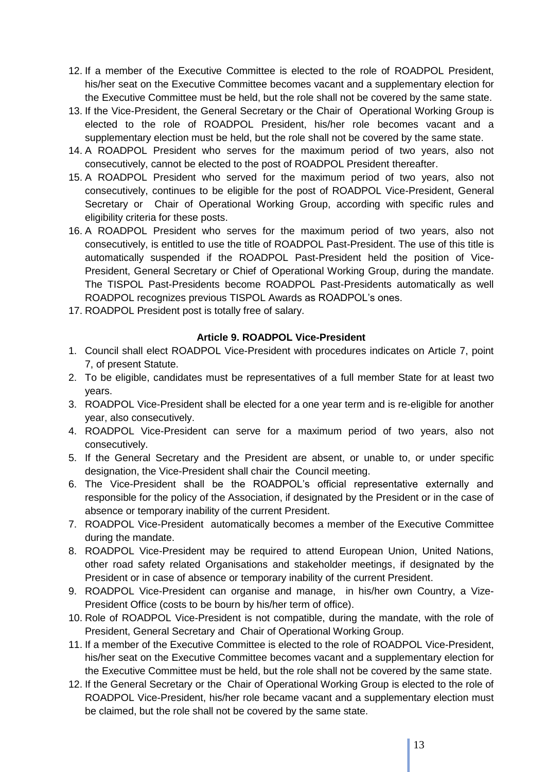- 12. If a member of the Executive Committee is elected to the role of ROADPOL President, his/her seat on the Executive Committee becomes vacant and a supplementary election for the Executive Committee must be held, but the role shall not be covered by the same state.
- 13. If the Vice-President, the General Secretary or the Chair of Operational Working Group is elected to the role of ROADPOL President, his/her role becomes vacant and a supplementary election must be held, but the role shall not be covered by the same state.
- 14. A ROADPOL President who serves for the maximum period of two years, also not consecutively, cannot be elected to the post of ROADPOL President thereafter.
- 15. A ROADPOL President who served for the maximum period of two years, also not consecutively, continues to be eligible for the post of ROADPOL Vice-President, General Secretary or Chair of Operational Working Group, according with specific rules and eligibility criteria for these posts.
- 16. A ROADPOL President who serves for the maximum period of two years, also not consecutively, is entitled to use the title of ROADPOL Past-President. The use of this title is automatically suspended if the ROADPOL Past-President held the position of Vice-President, General Secretary or Chief of Operational Working Group, during the mandate. The TISPOL Past-Presidents become ROADPOL Past-Presidents automatically as well ROADPOL recognizes previous TISPOL Awards as ROADPOL's ones.
- 17. ROADPOL President post is totally free of salary.

## **Article 9. ROADPOL Vice-President**

- 1. Council shall elect ROADPOL Vice-President with procedures indicates on Article 7, point 7, of present Statute.
- 2. To be eligible, candidates must be representatives of a full member State for at least two years.
- 3. ROADPOL Vice-President shall be elected for a one year term and is re-eligible for another year, also consecutively.
- 4. ROADPOL Vice-President can serve for a maximum period of two years, also not consecutively.
- 5. If the General Secretary and the President are absent, or unable to, or under specific designation, the Vice-President shall chair the Council meeting.
- 6. The Vice-President shall be the ROADPOL's official representative externally and responsible for the policy of the Association, if designated by the President or in the case of absence or temporary inability of the current President.
- 7. ROADPOL Vice-President automatically becomes a member of the Executive Committee during the mandate.
- 8. ROADPOL Vice-President may be required to attend European Union, United Nations, other road safety related Organisations and stakeholder meetings, if designated by the President or in case of absence or temporary inability of the current President.
- 9. ROADPOL Vice-President can organise and manage, in his/her own Country, a Vize-President Office (costs to be bourn by his/her term of office).
- 10. Role of ROADPOL Vice-President is not compatible, during the mandate, with the role of President, General Secretary and Chair of Operational Working Group.
- 11. If a member of the Executive Committee is elected to the role of ROADPOL Vice-President, his/her seat on the Executive Committee becomes vacant and a supplementary election for the Executive Committee must be held, but the role shall not be covered by the same state.
- 12. If the General Secretary or the Chair of Operational Working Group is elected to the role of ROADPOL Vice-President, his/her role became vacant and a supplementary election must be claimed, but the role shall not be covered by the same state.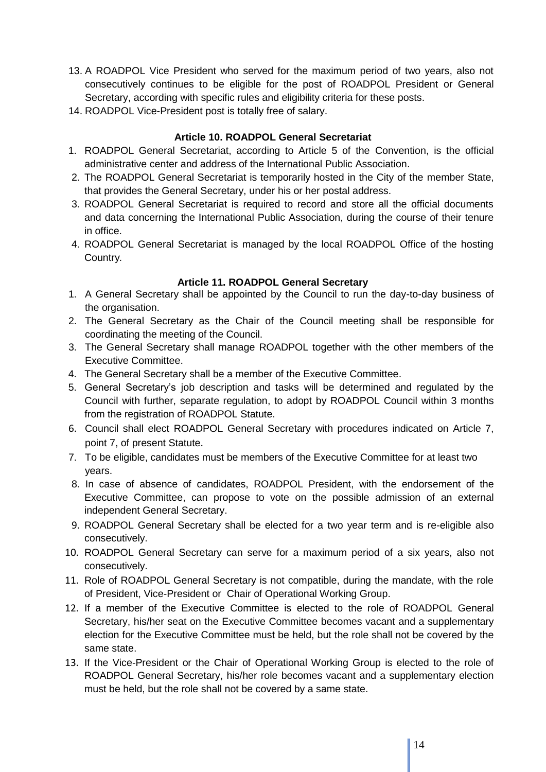- 13. A ROADPOL Vice President who served for the maximum period of two years, also not consecutively continues to be eligible for the post of ROADPOL President or General Secretary, according with specific rules and eligibility criteria for these posts.
- 14. ROADPOL Vice-President post is totally free of salary.

## **Article 10. ROADPOL General Secretariat**

- 1. ROADPOL General Secretariat, according to Article 5 of the Convention, is the official administrative center and address of the International Public Association.
- 2. The ROADPOL General Secretariat is temporarily hosted in the City of the member State, that provides the General Secretary, under his or her postal address.
- 3. ROADPOL General Secretariat is required to record and store all the official documents and data concerning the International Public Association, during the course of their tenure in office.
- 4. ROADPOL General Secretariat is managed by the local ROADPOL Office of the hosting Country*.*

## **Article 11. ROADPOL General Secretary**

- 1. A General Secretary shall be appointed by the Council to run the day-to-day business of the organisation.
- 2. The General Secretary as the Chair of the Council meeting shall be responsible for coordinating the meeting of the Council.
- 3. The General Secretary shall manage ROADPOL together with the other members of the Executive Committee.
- 4. The General Secretary shall be a member of the Executive Committee.
- 5. General Secretary's job description and tasks will be determined and regulated by the Council with further, separate regulation, to adopt by ROADPOL Council within 3 months from the registration of ROADPOL Statute.
- 6. Council shall elect ROADPOL General Secretary with procedures indicated on Article 7, point 7, of present Statute.
- 7. To be eligible, candidates must be members of the Executive Committee for at least two years.
- 8. In case of absence of candidates, ROADPOL President, with the endorsement of the Executive Committee, can propose to vote on the possible admission of an external independent General Secretary.
- 9. ROADPOL General Secretary shall be elected for a two year term and is re-eligible also consecutively.
- 10. ROADPOL General Secretary can serve for a maximum period of a six years, also not consecutively.
- 11. Role of ROADPOL General Secretary is not compatible, during the mandate, with the role of President, Vice-President or Chair of Operational Working Group.
- 12. If a member of the Executive Committee is elected to the role of ROADPOL General Secretary, his/her seat on the Executive Committee becomes vacant and a supplementary election for the Executive Committee must be held, but the role shall not be covered by the same state.
- 13. If the Vice-President or the Chair of Operational Working Group is elected to the role of ROADPOL General Secretary, his/her role becomes vacant and a supplementary election must be held, but the role shall not be covered by a same state.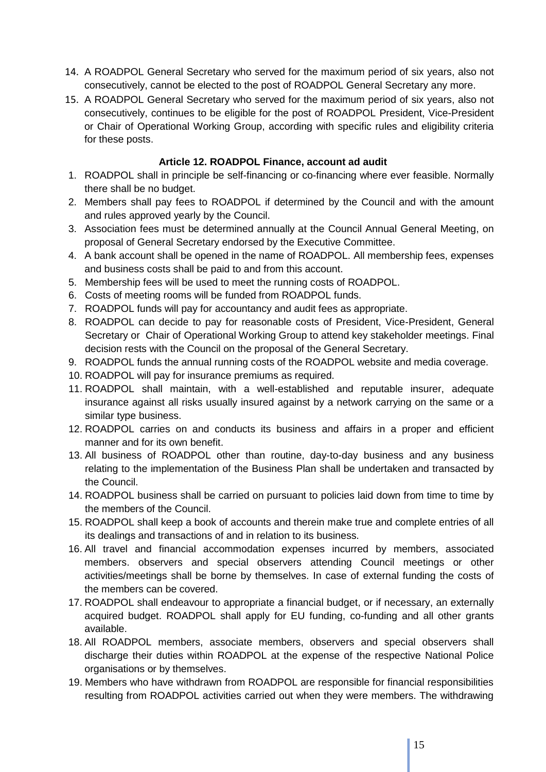- 14. A ROADPOL General Secretary who served for the maximum period of six years, also not consecutively, cannot be elected to the post of ROADPOL General Secretary any more.
- 15. A ROADPOL General Secretary who served for the maximum period of six years, also not consecutively, continues to be eligible for the post of ROADPOL President, Vice-President or Chair of Operational Working Group, according with specific rules and eligibility criteria for these posts.

## **Article 12. ROADPOL Finance, account ad audit**

- 1. ROADPOL shall in principle be self-financing or co-financing where ever feasible. Normally there shall be no budget.
- 2. Members shall pay fees to ROADPOL if determined by the Council and with the amount and rules approved yearly by the Council.
- 3. Association fees must be determined annually at the Council Annual General Meeting, on proposal of General Secretary endorsed by the Executive Committee.
- 4. A bank account shall be opened in the name of ROADPOL. All membership fees, expenses and business costs shall be paid to and from this account.
- 5. Membership fees will be used to meet the running costs of ROADPOL.
- 6. Costs of meeting rooms will be funded from ROADPOL funds.
- 7. ROADPOL funds will pay for accountancy and audit fees as appropriate.
- 8. ROADPOL can decide to pay for reasonable costs of President, Vice-President, General Secretary or Chair of Operational Working Group to attend key stakeholder meetings. Final decision rests with the Council on the proposal of the General Secretary.
- 9. ROADPOL funds the annual running costs of the ROADPOL website and media coverage.
- 10. ROADPOL will pay for insurance premiums as required.
- 11. ROADPOL shall maintain, with a well-established and reputable insurer, adequate insurance against all risks usually insured against by a network carrying on the same or a similar type business.
- 12. ROADPOL carries on and conducts its business and affairs in a proper and efficient manner and for its own benefit.
- 13. All business of ROADPOL other than routine, day-to-day business and any business relating to the implementation of the Business Plan shall be undertaken and transacted by the Council.
- 14. ROADPOL business shall be carried on pursuant to policies laid down from time to time by the members of the Council.
- 15. ROADPOL shall keep a book of accounts and therein make true and complete entries of all its dealings and transactions of and in relation to its business.
- 16. All travel and financial accommodation expenses incurred by members, associated members. observers and special observers attending Council meetings or other activities/meetings shall be borne by themselves. In case of external funding the costs of the members can be covered.
- 17. ROADPOL shall endeavour to appropriate a financial budget, or if necessary, an externally acquired budget. ROADPOL shall apply for EU funding, co-funding and all other grants available.
- 18. All ROADPOL members, associate members, observers and special observers shall discharge their duties within ROADPOL at the expense of the respective National Police organisations or by themselves.
- 19. Members who have withdrawn from ROADPOL are responsible for financial responsibilities resulting from ROADPOL activities carried out when they were members. The withdrawing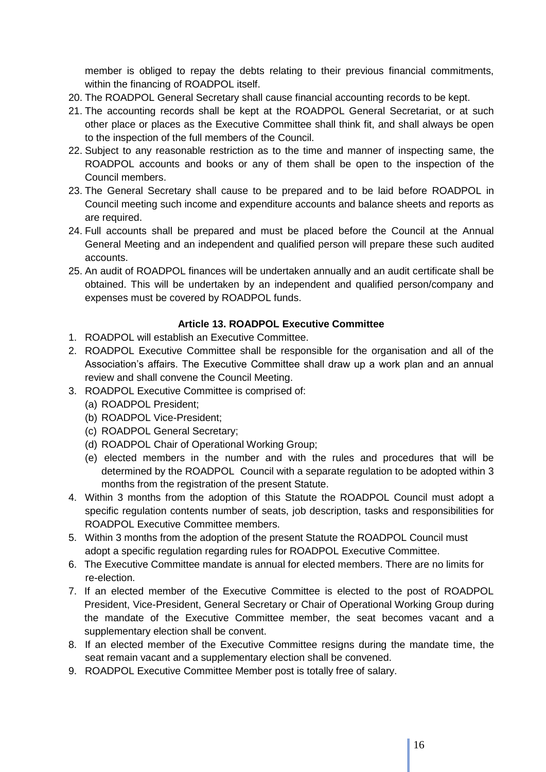member is obliged to repay the debts relating to their previous financial commitments, within the financing of ROADPOL itself.

- 20. The ROADPOL General Secretary shall cause financial accounting records to be kept.
- 21. The accounting records shall be kept at the ROADPOL General Secretariat, or at such other place or places as the Executive Committee shall think fit, and shall always be open to the inspection of the full members of the Council.
- 22. Subject to any reasonable restriction as to the time and manner of inspecting same, the ROADPOL accounts and books or any of them shall be open to the inspection of the Council members.
- 23. The General Secretary shall cause to be prepared and to be laid before ROADPOL in Council meeting such income and expenditure accounts and balance sheets and reports as are required.
- 24. Full accounts shall be prepared and must be placed before the Council at the Annual General Meeting and an independent and qualified person will prepare these such audited accounts.
- 25. An audit of ROADPOL finances will be undertaken annually and an audit certificate shall be obtained. This will be undertaken by an independent and qualified person/company and expenses must be covered by ROADPOL funds.

## **Article 13. ROADPOL Executive Committee**

- 1. ROADPOL will establish an Executive Committee.
- 2. ROADPOL Executive Committee shall be responsible for the organisation and all of the Association's affairs. The Executive Committee shall draw up a work plan and an annual review and shall convene the Council Meeting.
- 3. ROADPOL Executive Committee is comprised of:
	- (a) ROADPOL President;
	- (b) ROADPOL Vice-President;
	- (c) ROADPOL General Secretary;
	- (d) ROADPOL Chair of Operational Working Group;
	- (e) elected members in the number and with the rules and procedures that will be determined by the ROADPOL Council with a separate regulation to be adopted within 3 months from the registration of the present Statute.
- 4. Within 3 months from the adoption of this Statute the ROADPOL Council must adopt a specific regulation contents number of seats, job description, tasks and responsibilities for ROADPOL Executive Committee members.
- 5. Within 3 months from the adoption of the present Statute the ROADPOL Council must adopt a specific regulation regarding rules for ROADPOL Executive Committee.
- 6. The Executive Committee mandate is annual for elected members. There are no limits for re-election.
- 7. If an elected member of the Executive Committee is elected to the post of ROADPOL President, Vice-President, General Secretary or Chair of Operational Working Group during the mandate of the Executive Committee member, the seat becomes vacant and a supplementary election shall be convent.
- 8. If an elected member of the Executive Committee resigns during the mandate time, the seat remain vacant and a supplementary election shall be convened.
- 9. ROADPOL Executive Committee Member post is totally free of salary.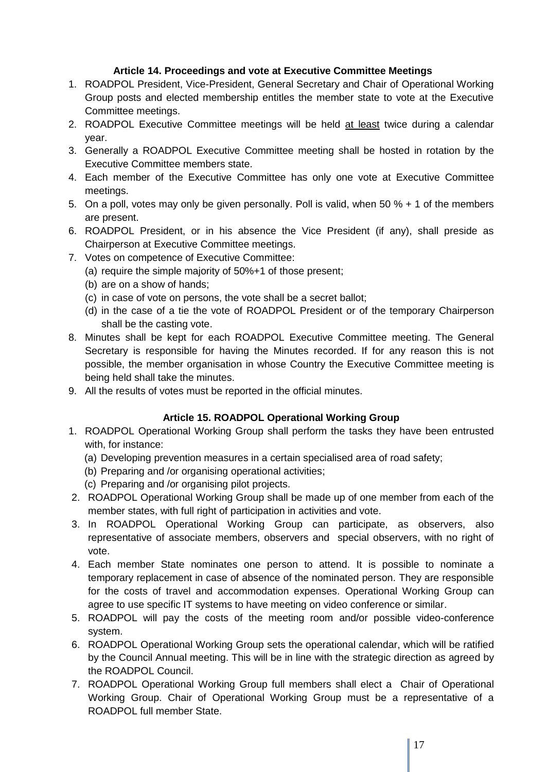# **Article 14. Proceedings and vote at Executive Committee Meetings**

- 1. ROADPOL President, Vice-President, General Secretary and Chair of Operational Working Group posts and elected membership entitles the member state to vote at the Executive Committee meetings.
- 2. ROADPOL Executive Committee meetings will be held at least twice during a calendar year.
- 3. Generally a ROADPOL Executive Committee meeting shall be hosted in rotation by the Executive Committee members state.
- 4. Each member of the Executive Committee has only one vote at Executive Committee meetings.
- 5. On a poll, votes may only be given personally. Poll is valid, when 50 % + 1 of the members are present.
- 6. ROADPOL President, or in his absence the Vice President (if any), shall preside as Chairperson at Executive Committee meetings.
- 7. Votes on competence of Executive Committee:
	- (a) require the simple majority of 50%+1 of those present;
	- (b) are on a show of hands;
	- (c) in case of vote on persons, the vote shall be a secret ballot;
	- (d) in the case of a tie the vote of ROADPOL President or of the temporary Chairperson shall be the casting vote.
- 8. Minutes shall be kept for each ROADPOL Executive Committee meeting. The General Secretary is responsible for having the Minutes recorded. If for any reason this is not possible, the member organisation in whose Country the Executive Committee meeting is being held shall take the minutes.
- 9. All the results of votes must be reported in the official minutes.

## **Article 15. ROADPOL Operational Working Group**

- 1. ROADPOL Operational Working Group shall perform the tasks they have been entrusted with, for instance:
	- (a) Developing prevention measures in a certain specialised area of road safety;
	- (b) Preparing and /or organising operational activities;
	- (c) Preparing and /or organising pilot projects.
- 2. ROADPOL Operational Working Group shall be made up of one member from each of the member states, with full right of participation in activities and vote.
- 3. In ROADPOL Operational Working Group can participate, as observers, also representative of associate members, observers and special observers, with no right of vote.
- 4. Each member State nominates one person to attend. It is possible to nominate a temporary replacement in case of absence of the nominated person. They are responsible for the costs of travel and accommodation expenses. Operational Working Group can agree to use specific IT systems to have meeting on video conference or similar.
- 5. ROADPOL will pay the costs of the meeting room and/or possible video-conference system.
- 6. ROADPOL Operational Working Group sets the operational calendar, which will be ratified by the Council Annual meeting. This will be in line with the strategic direction as agreed by the ROADPOL Council.
- 7. ROADPOL Operational Working Group full members shall elect a Chair of Operational Working Group. Chair of Operational Working Group must be a representative of a ROADPOL full member State.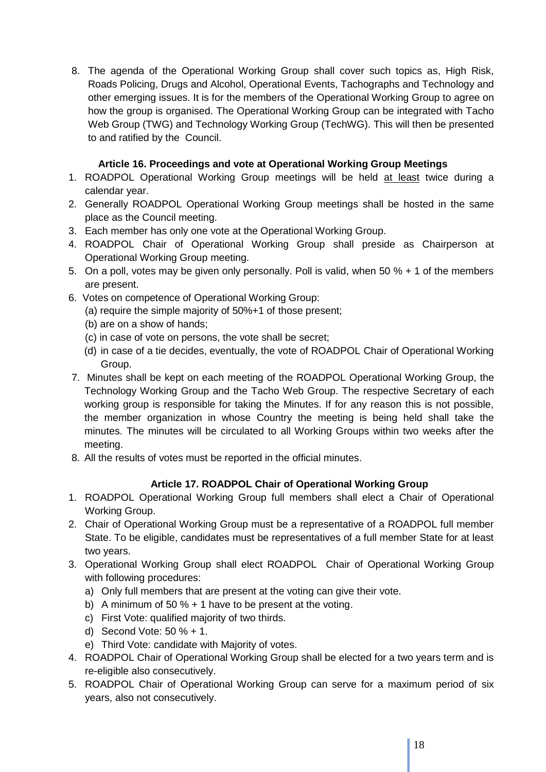8. The agenda of the Operational Working Group shall cover such topics as, High Risk, Roads Policing, Drugs and Alcohol, Operational Events, Tachographs and Technology and other emerging issues. It is for the members of the Operational Working Group to agree on how the group is organised. The Operational Working Group can be integrated with Tacho Web Group (TWG) and Technology Working Group (TechWG). This will then be presented to and ratified by the Council.

# **Article 16. Proceedings and vote at Operational Working Group Meetings**

- 1. ROADPOL Operational Working Group meetings will be held at least twice during a calendar year.
- 2. Generally ROADPOL Operational Working Group meetings shall be hosted in the same place as the Council meeting.
- 3. Each member has only one vote at the Operational Working Group.
- 4. ROADPOL Chair of Operational Working Group shall preside as Chairperson at Operational Working Group meeting.
- 5. On a poll, votes may be given only personally. Poll is valid, when 50 % + 1 of the members are present.
- 6. Votes on competence of Operational Working Group:
	- (a) require the simple majority of 50%+1 of those present;
	- (b) are on a show of hands;
	- (c) in case of vote on persons, the vote shall be secret;
	- (d) in case of a tie decides, eventually, the vote of ROADPOL Chair of Operational Working Group.
- 7. Minutes shall be kept on each meeting of the ROADPOL Operational Working Group, the Technology Working Group and the Tacho Web Group. The respective Secretary of each working group is responsible for taking the Minutes. If for any reason this is not possible, the member organization in whose Country the meeting is being held shall take the minutes. The minutes will be circulated to all Working Groups within two weeks after the meeting.
- 8. All the results of votes must be reported in the official minutes.

# **Article 17. ROADPOL Chair of Operational Working Group**

- 1. ROADPOL Operational Working Group full members shall elect a Chair of Operational Working Group.
- 2. Chair of Operational Working Group must be a representative of a ROADPOL full member State. To be eligible, candidates must be representatives of a full member State for at least two years.
- 3. Operational Working Group shall elect ROADPOL Chair of Operational Working Group with following procedures:
	- a) Only full members that are present at the voting can give their vote.
	- b) A minimum of 50 % + 1 have to be present at the voting.
	- c) First Vote: qualified majority of two thirds.
	- d) Second Vote: 50 % + 1.
	- e) Third Vote: candidate with Majority of votes.
- 4. ROADPOL Chair of Operational Working Group shall be elected for a two years term and is re-eligible also consecutively.
- 5. ROADPOL Chair of Operational Working Group can serve for a maximum period of six years, also not consecutively.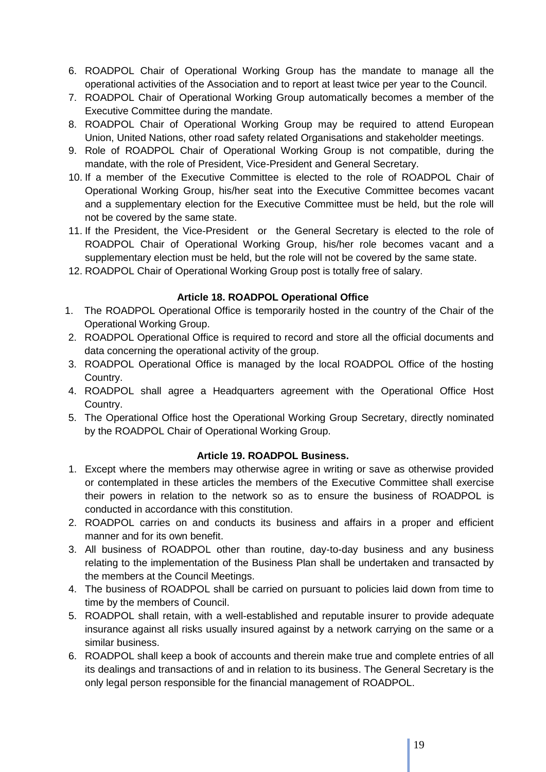- 6. ROADPOL Chair of Operational Working Group has the mandate to manage all the operational activities of the Association and to report at least twice per year to the Council.
- 7. ROADPOL Chair of Operational Working Group automatically becomes a member of the Executive Committee during the mandate.
- 8. ROADPOL Chair of Operational Working Group may be required to attend European Union, United Nations, other road safety related Organisations and stakeholder meetings.
- 9. Role of ROADPOL Chair of Operational Working Group is not compatible, during the mandate, with the role of President, Vice-President and General Secretary.
- 10. If a member of the Executive Committee is elected to the role of ROADPOL Chair of Operational Working Group, his/her seat into the Executive Committee becomes vacant and a supplementary election for the Executive Committee must be held, but the role will not be covered by the same state.
- 11. If the President, the Vice-President or the General Secretary is elected to the role of ROADPOL Chair of Operational Working Group, his/her role becomes vacant and a supplementary election must be held, but the role will not be covered by the same state.
- 12. ROADPOL Chair of Operational Working Group post is totally free of salary.

## **Article 18. ROADPOL Operational Office**

- 1. The ROADPOL Operational Office is temporarily hosted in the country of the Chair of the Operational Working Group.
- 2. ROADPOL Operational Office is required to record and store all the official documents and data concerning the operational activity of the group.
- 3. ROADPOL Operational Office is managed by the local ROADPOL Office of the hosting Country.
- 4. ROADPOL shall agree a Headquarters agreement with the Operational Office Host Country.
- 5. The Operational Office host the Operational Working Group Secretary, directly nominated by the ROADPOL Chair of Operational Working Group.

# **Article 19. ROADPOL Business.**

- 1. Except where the members may otherwise agree in writing or save as otherwise provided or contemplated in these articles the members of the Executive Committee shall exercise their powers in relation to the network so as to ensure the business of ROADPOL is conducted in accordance with this constitution.
- 2. ROADPOL carries on and conducts its business and affairs in a proper and efficient manner and for its own benefit.
- 3. All business of ROADPOL other than routine, day-to-day business and any business relating to the implementation of the Business Plan shall be undertaken and transacted by the members at the Council Meetings.
- 4. The business of ROADPOL shall be carried on pursuant to policies laid down from time to time by the members of Council.
- 5. ROADPOL shall retain, with a well-established and reputable insurer to provide adequate insurance against all risks usually insured against by a network carrying on the same or a similar business.
- 6. ROADPOL shall keep a book of accounts and therein make true and complete entries of all its dealings and transactions of and in relation to its business. The General Secretary is the only legal person responsible for the financial management of ROADPOL.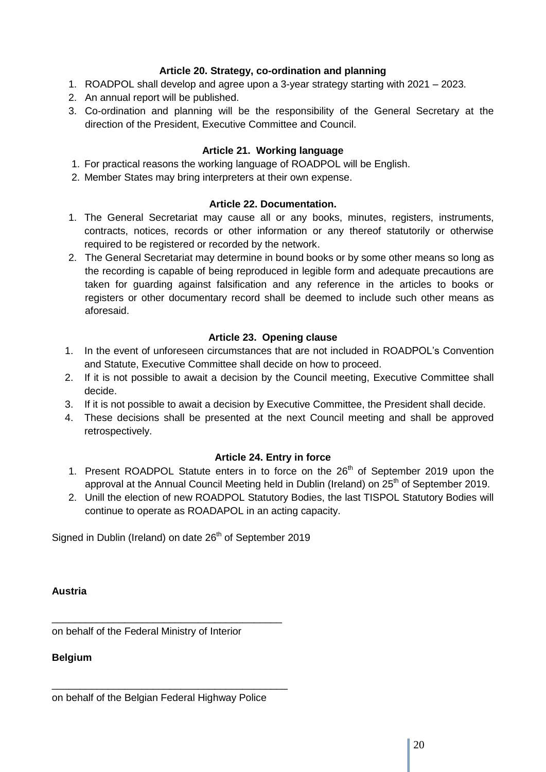# **Article 20. Strategy, co-ordination and planning**

- 1. ROADPOL shall develop and agree upon a 3-year strategy starting with 2021 2023.
- 2. An annual report will be published.
- 3. Co-ordination and planning will be the responsibility of the General Secretary at the direction of the President, Executive Committee and Council.

## **Article 21. Working language**

- 1. For practical reasons the working language of ROADPOL will be English.
- 2. Member States may bring interpreters at their own expense.

## **Article 22. Documentation.**

- 1. The General Secretariat may cause all or any books, minutes, registers, instruments, contracts, notices, records or other information or any thereof statutorily or otherwise required to be registered or recorded by the network.
- 2. The General Secretariat may determine in bound books or by some other means so long as the recording is capable of being reproduced in legible form and adequate precautions are taken for guarding against falsification and any reference in the articles to books or registers or other documentary record shall be deemed to include such other means as aforesaid.

## **Article 23. Opening clause**

- 1. In the event of unforeseen circumstances that are not included in ROADPOL's Convention and Statute, Executive Committee shall decide on how to proceed.
- 2. If it is not possible to await a decision by the Council meeting, Executive Committee shall decide.
- 3. If it is not possible to await a decision by Executive Committee, the President shall decide.
- 4. These decisions shall be presented at the next Council meeting and shall be approved retrospectively.

## **Article 24. Entry in force**

- 1. Present ROADPOL Statute enters in to force on the  $26<sup>th</sup>$  of September 2019 upon the approval at the Annual Council Meeting held in Dublin (Ireland) on 25<sup>th</sup> of September 2019.
- 2. Unill the election of new ROADPOL Statutory Bodies, the last TISPOL Statutory Bodies will continue to operate as ROADAPOL in an acting capacity.

Signed in Dublin (Ireland) on date 26<sup>th</sup> of September 2019

**Austria** 

on behalf of the Federal Ministry of Interior

\_\_\_\_\_\_\_\_\_\_\_\_\_\_\_\_\_\_\_\_\_\_\_\_\_\_\_\_\_\_\_\_\_\_\_\_\_\_\_\_\_

**Belgium** 

on behalf of the Belgian Federal Highway Police

\_\_\_\_\_\_\_\_\_\_\_\_\_\_\_\_\_\_\_\_\_\_\_\_\_\_\_\_\_\_\_\_\_\_\_\_\_\_\_\_\_\_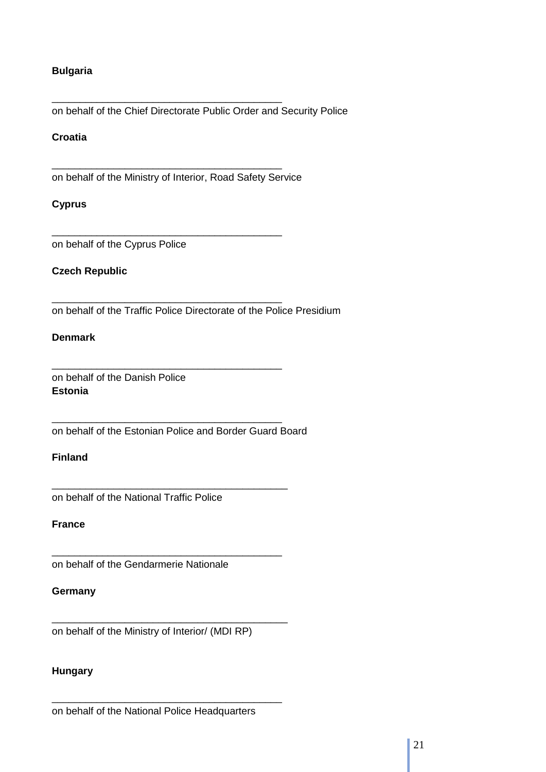# **Bulgaria**

on behalf of the Chief Directorate Public Order and Security Police

## **Croatia**

on behalf of the Ministry of Interior, Road Safety Service

\_\_\_\_\_\_\_\_\_\_\_\_\_\_\_\_\_\_\_\_\_\_\_\_\_\_\_\_\_\_\_\_\_\_\_\_\_\_\_\_\_

\_\_\_\_\_\_\_\_\_\_\_\_\_\_\_\_\_\_\_\_\_\_\_\_\_\_\_\_\_\_\_\_\_\_\_\_\_\_\_\_\_

\_\_\_\_\_\_\_\_\_\_\_\_\_\_\_\_\_\_\_\_\_\_\_\_\_\_\_\_\_\_\_\_\_\_\_\_\_\_\_\_\_

\_\_\_\_\_\_\_\_\_\_\_\_\_\_\_\_\_\_\_\_\_\_\_\_\_\_\_\_\_\_\_\_\_\_\_\_\_\_\_\_\_

\_\_\_\_\_\_\_\_\_\_\_\_\_\_\_\_\_\_\_\_\_\_\_\_\_\_\_\_\_\_\_\_\_\_\_\_\_\_\_\_\_

\_\_\_\_\_\_\_\_\_\_\_\_\_\_\_\_\_\_\_\_\_\_\_\_\_\_\_\_\_\_\_\_\_\_\_\_\_\_\_\_\_\_

\_\_\_\_\_\_\_\_\_\_\_\_\_\_\_\_\_\_\_\_\_\_\_\_\_\_\_\_\_\_\_\_\_\_\_\_\_\_\_\_\_

\_\_\_\_\_\_\_\_\_\_\_\_\_\_\_\_\_\_\_\_\_\_\_\_\_\_\_\_\_\_\_\_\_\_\_\_\_\_\_\_\_\_

\_\_\_\_\_\_\_\_\_\_\_\_\_\_\_\_\_\_\_\_\_\_\_\_\_\_\_\_\_\_\_\_\_\_\_\_\_\_\_\_\_

## **Cyprus**

on behalf of the Cyprus Police

# **Czech Republic**

on behalf of the Traffic Police Directorate of the Police Presidium

#### **Denmark**

on behalf of the Danish Police **Estonia** 

on behalf of the Estonian Police and Border Guard Board

# **Finland**

on behalf of the National Traffic Police

## **France**

on behalf of the Gendarmerie Nationale

#### **Germany**

on behalf of the Ministry of Interior/ (MDI RP)

## **Hungary**

on behalf of the National Police Headquarters

\_\_\_\_\_\_\_\_\_\_\_\_\_\_\_\_\_\_\_\_\_\_\_\_\_\_\_\_\_\_\_\_\_\_\_\_\_\_\_\_\_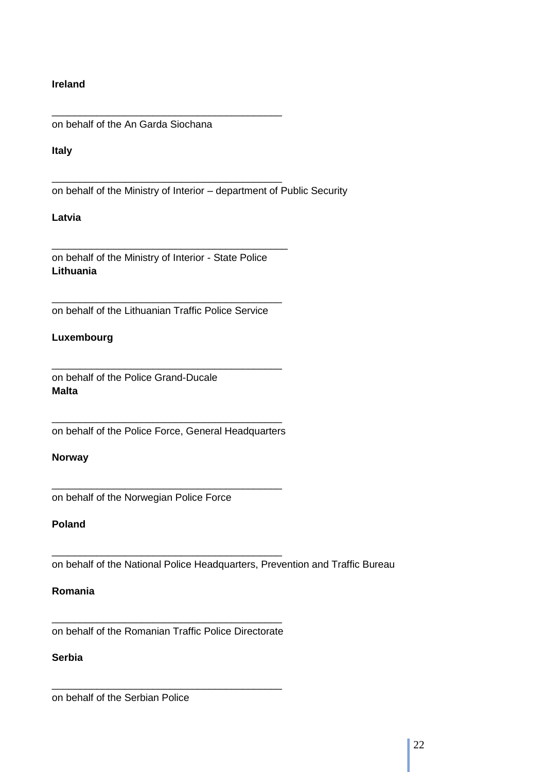## **Ireland**

on behalf of the An Garda Siochana

\_\_\_\_\_\_\_\_\_\_\_\_\_\_\_\_\_\_\_\_\_\_\_\_\_\_\_\_\_\_\_\_\_\_\_\_\_\_\_\_\_

\_\_\_\_\_\_\_\_\_\_\_\_\_\_\_\_\_\_\_\_\_\_\_\_\_\_\_\_\_\_\_\_\_\_\_\_\_\_\_\_\_

#### **Italy**

on behalf of the Ministry of Interior – department of Public Security

## **Latvia**

on behalf of the Ministry of Interior - State Police **Lithuania** 

\_\_\_\_\_\_\_\_\_\_\_\_\_\_\_\_\_\_\_\_\_\_\_\_\_\_\_\_\_\_\_\_\_\_\_\_\_\_\_\_\_\_

\_\_\_\_\_\_\_\_\_\_\_\_\_\_\_\_\_\_\_\_\_\_\_\_\_\_\_\_\_\_\_\_\_\_\_\_\_\_\_\_\_ on behalf of the Lithuanian Traffic Police Service

# **Luxembourg**

on behalf of the Police Grand-Ducale **Malta** 

\_\_\_\_\_\_\_\_\_\_\_\_\_\_\_\_\_\_\_\_\_\_\_\_\_\_\_\_\_\_\_\_\_\_\_\_\_\_\_\_\_ on behalf of the Police Force, General Headquarters

\_\_\_\_\_\_\_\_\_\_\_\_\_\_\_\_\_\_\_\_\_\_\_\_\_\_\_\_\_\_\_\_\_\_\_\_\_\_\_\_\_

\_\_\_\_\_\_\_\_\_\_\_\_\_\_\_\_\_\_\_\_\_\_\_\_\_\_\_\_\_\_\_\_\_\_\_\_\_\_\_\_\_

\_\_\_\_\_\_\_\_\_\_\_\_\_\_\_\_\_\_\_\_\_\_\_\_\_\_\_\_\_\_\_\_\_\_\_\_\_\_\_\_\_

## **Norway**

on behalf of the Norwegian Police Force

## **Poland**

on behalf of the National Police Headquarters, Prevention and Traffic Bureau

## **Romania**

\_\_\_\_\_\_\_\_\_\_\_\_\_\_\_\_\_\_\_\_\_\_\_\_\_\_\_\_\_\_\_\_\_\_\_\_\_\_\_\_\_ on behalf of the Romanian Traffic Police Directorate

\_\_\_\_\_\_\_\_\_\_\_\_\_\_\_\_\_\_\_\_\_\_\_\_\_\_\_\_\_\_\_\_\_\_\_\_\_\_\_\_\_

# **Serbia**

on behalf of the Serbian Police